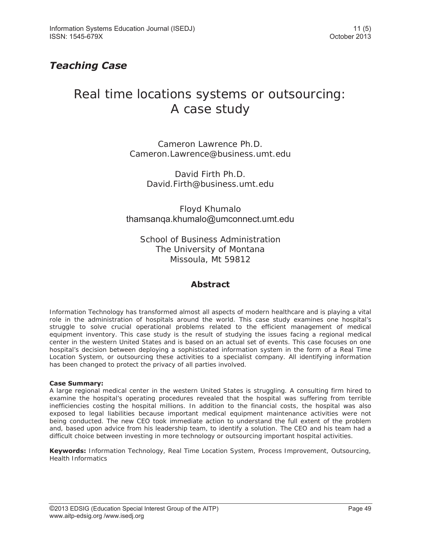## *Teaching Case*

# Real time locations systems or outsourcing: A case study

Cameron Lawrence Ph.D. Cameron.Lawrence@business.umt.edu

> David Firth Ph.D. David.Firth@business.umt.edu

Floyd Khumalo thamsanqa.khumalo@umconnect.umt.edu

School of Business Administration The University of Montana Missoula, Mt 59812

## **Abstract**

Information Technology has transformed almost all aspects of modern healthcare and is playing a vital role in the administration of hospitals around the world. This case study examines one hospital's struggle to solve crucial operational problems related to the efficient management of medical equipment inventory. This case study is the result of studying the issues facing a regional medical center in the western United States and is based on an actual set of events. This case focuses on one hospital's decision between deploying a sophisticated information system in the form of a Real Time Location System, or outsourcing these activities to a specialist company. All identifying information has been changed to protect the privacy of all parties involved.

## **Case Summary:**

A large regional medical center in the western United States is struggling. A consulting firm hired to examine the hospital's operating procedures revealed that the hospital was suffering from terrible inefficiencies costing the hospital millions. In addition to the financial costs, the hospital was also exposed to legal liabilities because important medical equipment maintenance activities were not being conducted. The new CEO took immediate action to understand the full extent of the problem and, based upon advice from his leadership team, to identify a solution. The CEO and his team had a difficult choice between investing in more technology or outsourcing important hospital activities.

**Keywords:** Information Technology, Real Time Location System, Process Improvement, Outsourcing, Health Informatics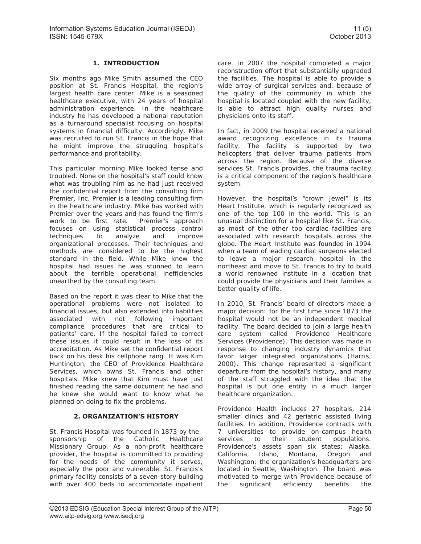## **1. INTRODUCTION**

Six months ago Mike Smith assumed the CEO position at St. Francis Hospital, the region's largest health care center. Mike is a seasoned healthcare executive, with 24 years of hospital administration experience. In the healthcare industry he has developed a national reputation as a turnaround specialist focusing on hospital systems in financial difficulty. Accordingly, Mike was recruited to run St. Francis in the hope that he might improve the struggling hospital's performance and profitability.

This particular morning Mike looked tense and troubled. None on the hospital's staff could know what was troubling him as he had just received the confidential report from the consulting firm Premier, Inc. Premier is a leading consulting firm in the healthcare industry. Mike has worked with Premier over the years and has found the firm's work to be first rate. Premier's approach focuses on using statistical process control techniques to analyze and improve organizational processes. Their techniques and methods are considered to be the highest standard in the field. While Mike knew the hospital had issues he was stunned to learn about the terrible operational inefficiencies unearthed by the consulting team.

Based on the report it was clear to Mike that the operational problems were not isolated to financial issues, but also extended into liabilities associated with not following important compliance procedures that are critical to patients' care. If the hospital failed to correct these issues it could result in the loss of its accreditation. As Mike set the confidential report back on his desk his cellphone rang. It was Kim Huntington, the CEO of Providence Healthcare Services, which owns St. Francis and other hospitals. Mike knew that Kim must have just finished reading the same document he had and he knew she would want to know what he planned on doing to fix the problems.

## **2. ORGANIZATION'S HISTORY**

St. Francis Hospital was founded in 1873 by the sponsorship of the Catholic Healthcare Missionary Group. As a non-profit healthcare provider, the hospital is committed to providing for the needs of the community it serves, especially the poor and vulnerable. St. Francis's primary facility consists of a seven-story building with over 400 beds to accommodate inpatient

care. In 2007 the hospital completed a major reconstruction effort that substantially upgraded the facilities. The hospital is able to provide a wide array of surgical services and, because of the quality of the community in which the hospital is located coupled with the new facility, is able to attract high quality nurses and physicians onto its staff.

In fact, in 2009 the hospital received a national award recognizing excellence in its trauma facility. The facility is supported by two helicopters that deliver trauma patients from across the region. Because of the diverse services St. Francis provides, the trauma facility is a critical component of the region's healthcare system.

However, the hospital's "crown jewel" is its Heart Institute, which is regularly recognized as one of the top 100 in the world. This is an unusual distinction for a hospital like St. Francis, as most of the other top cardiac facilities are associated with research hospitals across the globe. The Heart Institute was founded in 1994 when a team of leading cardiac surgeons elected to leave a major research hospital in the northeast and move to St. Francis to try to build a world renowned institute in a location that could provide the physicians and their families a better quality of life.

In 2010, St. Francis' board of directors made a major decision: for the first time since 1873 the hospital would not be an independent medical facility. The board decided to join a large health care system called Providence Healthcare Services (Providence). This decision was made in response to changing industry dynamics that favor larger integrated organizations (Harris, 2000). This change represented a significant departure from the hospital's history, and many of the staff struggled with the idea that the hospital is but one entity in a much larger healthcare organization.

Providence Health includes 27 hospitals, 214 smaller clinics and 42 geriatric assisted living facilities. In addition, Providence contracts with 7 universities to provide on-campus health services to their student populations. Providence's assets span six states: Alaska, California, Idaho, Montana, Oregon and Washington; the organization's headquarters are located in Seattle, Washington. The board was motivated to merge with Providence because of the significant efficiency benefits the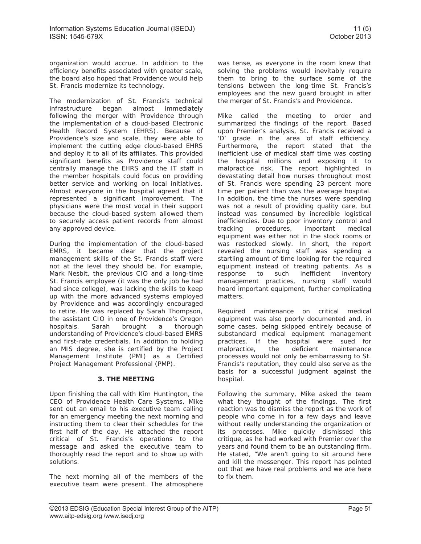The modernization of St. Francis's technical infrastructure began almost immediately following the merger with Providence through the implementation of a cloud-based Electronic Health Record System (EHRS). Because of Providence's size and scale, they were able to implement the cutting edge cloud-based EHRS and deploy it to all of its affiliates. This provided significant benefits as Providence staff could centrally manage the EHRS and the IT staff in the member hospitals could focus on providing better service and working on local initiatives. Almost everyone in the hospital agreed that it represented a significant improvement. The physicians were the most vocal in their support because the cloud-based system allowed them to securely access patient records from almost any approved device.

During the implementation of the cloud-based EMRS, it became clear that the project management skills of the St. Francis staff were not at the level they should be. For example, Mark Nesbit, the previous CIO and a long-time St. Francis employee (it was the only job he had had since college), was lacking the skills to keep up with the more advanced systems employed by Providence and was accordingly encouraged to retire. He was replaced by Sarah Thompson, the assistant CIO in one of Providence's Oregon hospitals. Sarah brought a thorough understanding of Providence's cloud-based EMRS and first-rate credentials. In addition to holding an MIS degree, she is certified by the Project Management Institute (PMI) as a Certified Project Management Professional (PMP).

## **3. THE MEETING**

Upon finishing the call with Kim Huntington, the CEO of Providence Health Care Systems, Mike sent out an email to his executive team calling for an emergency meeting the next morning and instructing them to clear their schedules for the first half of the day. He attached the report critical of St. Francis's operations to the message and asked the executive team to thoroughly read the report and to show up with solutions.

The next morning all of the members of the executive team were present. The atmosphere was tense, as everyone in the room knew that solving the problems would inevitably require them to bring to the surface some of the tensions between the long-time St. Francis's employees and the new guard brought in after the merger of St. Francis's and Providence.

Mike called the meeting to order and summarized the findings of the report. Based upon Premier's analysis, St. Francis received a 'D' grade in the area of staff efficiency. Furthermore, the report stated that the inefficient use of medical staff time was costing the hospital millions and exposing it to malpractice risk. The report highlighted in devastating detail how nurses throughout most of St. Francis were spending 23 percent more time per patient than was the average hospital. In addition, the time the nurses were spending was not a result of providing quality care, but instead was consumed by incredible logistical inefficiencies. Due to poor inventory control and tracking procedures, important medical equipment was either not in the stock rooms or was restocked slowly. In short, the report revealed the nursing staff was spending a startling amount of time looking for the required equipment instead of treating patients. As a response to such inefficient inventory management practices, nursing staff would hoard important equipment, further complicating matters.

Required maintenance on critical medical equipment was also poorly documented and, in some cases, being skipped entirely because of substandard medical equipment management practices. If the hospital were sued for malpractice, the deficient maintenance processes would not only be embarrassing to St. Francis's reputation, they could also serve as the basis for a successful judgment against the hospital.

Following the summary, Mike asked the team what they thought of the findings. The first reaction was to dismiss the report as the work of people who come in for a few days and leave without really understanding the organization or its processes. Mike quickly dismissed this critique, as he had worked with Premier over the years and found them to be an outstanding firm. He stated, "We aren't going to sit around here and kill the messenger. This report has pointed out that we have real problems and we are here to fix them.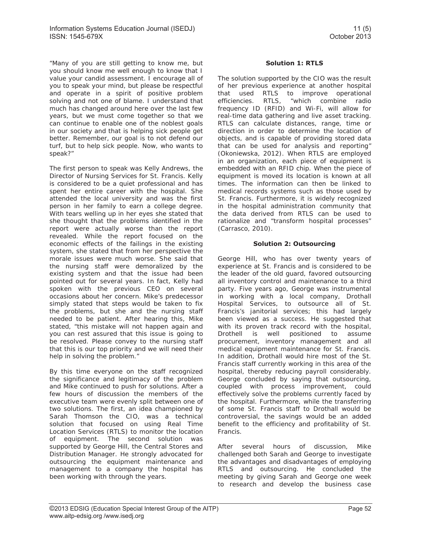"Many of you are still getting to know me, but you should know me well enough to know that I value your candid assessment. I encourage all of you to speak your mind, but please be respectful and operate in a spirit of positive problem solving and not one of blame. I understand that much has changed around here over the last few years, but we must come together so that we can continue to enable one of the noblest goals in our society and that is helping sick people get better. Remember, our goal is to not defend our turf, but to help sick people. Now, who wants to speak?"

The first person to speak was Kelly Andrews, the Director of Nursing Services for St. Francis. Kelly is considered to be a quiet professional and has spent her entire career with the hospital. She attended the local university and was the first person in her family to earn a college degree. With tears welling up in her eyes she stated that she thought that the problems identified in the report were actually worse than the report revealed. While the report focused on the economic effects of the failings in the existing system, she stated that from her perspective the morale issues were much worse. She said that the nursing staff were demoralized by the existing system and that the issue had been pointed out for several years. In fact, Kelly had spoken with the previous CEO on several occasions about her concern. Mike's predecessor simply stated that steps would be taken to fix the problems, but she and the nursing staff needed to be patient. After hearing this, Mike stated, "this mistake will not happen again and you can rest assured that this issue is going to be resolved. Please convey to the nursing staff that this is our top priority and we will need their help in solving the problem."

By this time everyone on the staff recognized the significance and legitimacy of the problem and Mike continued to push for solutions. After a few hours of discussion the members of the executive team were evenly split between one of two solutions. The first, an idea championed by Sarah Thomson the CIO, was a technical solution that focused on using Real Time Location Services (RTLS) to monitor the location of equipment. The second solution was supported by George Hill, the Central Stores and Distribution Manager. He strongly advocated for outsourcing the equipment maintenance and management to a company the hospital has been working with through the years.

## **Solution 1: RTLS**

The solution supported by the CIO was the result of her previous experience at another hospital that used RTLS to improve operational efficiencies. RTLS, "which combine radio frequency ID (RFID) and Wi-Fi, will allow for real-time data gathering and live asset tracking. RTLS can calculate distances, range, time or direction in order to determine the location of objects, and is capable of providing stored data that can be used for analysis and reporting" (Okoniewska, 2012). When RTLS are employed in an organization, each piece of equipment is embedded with an RFID chip. When the piece of equipment is moved its location is known at all times. The information can then be linked to medical records systems such as those used by St. Francis. Furthermore, it is widely recognized in the hospital administration community that the data derived from RTLS can be used to rationalize and "transform hospital processes" (Carrasco, 2010).

## **Solution 2: Outsourcing**

George Hill, who has over twenty years of experience at St. Francis and is considered to be the leader of the old guard, favored outsourcing all inventory control and maintenance to a third party. Five years ago, George was instrumental in working with a local company, Drothall Hospital Services, to outsource all of St. Francis's janitorial services; this had largely been viewed as a success. He suggested that with its proven track record with the hospital, Drothell is well positioned to assume procurement, inventory management and all medical equipment maintenance for St. Francis. In addition, Drothall would hire most of the St. Francis staff currently working in this area of the hospital, thereby reducing payroll considerably. George concluded by saying that outsourcing, coupled with process improvement, could effectively solve the problems currently faced by the hospital. Furthermore, while the transferring of some St. Francis staff to Drothall would be controversial, the savings would be an added benefit to the efficiency and profitability of St. Francis.

After several hours of discussion, Mike challenged both Sarah and George to investigate the advantages and disadvantages of employing RTLS and outsourcing. He concluded the meeting by giving Sarah and George one week to research and develop the business case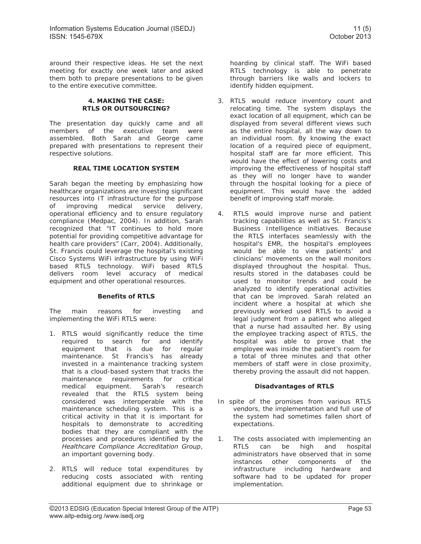around their respective ideas. He set the next meeting for exactly one week later and asked them both to prepare presentations to be given to the entire executive committee.

## **4. MAKING THE CASE: RTLS OR OUTSOURCING?**

The presentation day quickly came and all members of the executive team were assembled. Both Sarah and George came prepared with presentations to represent their respective solutions.

## **REAL TIME LOCATION SYSTEM**

Sarah began the meeting by emphasizing how healthcare organizations are investing significant resources into IT infrastructure for the purpose of improving medical service delivery, operational efficiency and to ensure regulatory compliance (Medpac, 2004). In addition, Sarah recognized that "IT continues to hold more potential for providing competitive advantage for health care providers" (Carr, 2004). Additionally, St. Francis could leverage the hospital's existing Cisco Systems WiFi infrastructure by using WiFi based RTLS technology. WiFi based RTLS delivers room level accuracy of medical equipment and other operational resources.

## **Benefits of RTLS**

The main reasons for investing and implementing the WiFi RTLS were:

- 1. RTLS would significantly reduce the time required to search for and identify equipment that is due for regular maintenance. St Francis's has already invested in a maintenance tracking system that is a cloud-based system that tracks the maintenance requirements for critical medical equipment. Sarah's research revealed that the RTLS system being considered was interoperable with the maintenance scheduling system. This is a critical activity in that it is important for hospitals to demonstrate to accrediting bodies that they are compliant with the processes and procedures identified by the *Healthcare Compliance Accreditation Group*, an important governing body.
- 2. RTLS will reduce total expenditures by reducing costs associated with renting additional equipment due to shrinkage or

hoarding by clinical staff. The WiFi based RTLS technology is able to penetrate through barriers like walls and lockers to identify hidden equipment.

- 3. RTLS would reduce inventory count and relocating time. The system displays the exact location of all equipment, which can be displayed from several different views such as the entire hospital, all the way down to an individual room. By knowing the exact location of a required piece of equipment, hospital staff are far more efficient. This would have the effect of lowering costs and improving the effectiveness of hospital staff as they will no longer have to wander through the hospital looking for a piece of equipment. This would have the added benefit of improving staff morale.
- 4. RTLS would improve nurse and patient tracking capabilities as well as St. Francis's Business Intelligence initiatives. Because the RTLS interfaces seamlessly with the hospital's EMR, the hospital's employees would be able to view patients' and clinicians' movements on the wall monitors displayed throughout the hospital. Thus, results stored in the databases could be used to monitor trends and could be analyzed to identify operational activities that can be improved. Sarah related an incident where a hospital at which she previously worked used RTLS to avoid a legal judgment from a patient who alleged that a nurse had assaulted her. By using the employee tracking aspect of RTLS, the hospital was able to prove that the employee was inside the patient's room for a total of three minutes and that other members of staff were in close proximity, thereby proving the assault did not happen.

## **Disadvantages of RTLS**

- In spite of the promises from various RTLS vendors, the implementation and full use of the system had sometimes fallen short of expectations.
- 1. The costs associated with implementing an RTLS can be high and hospital administrators have observed that in some instances other components of the infrastructure including hardware and software had to be updated for proper implementation.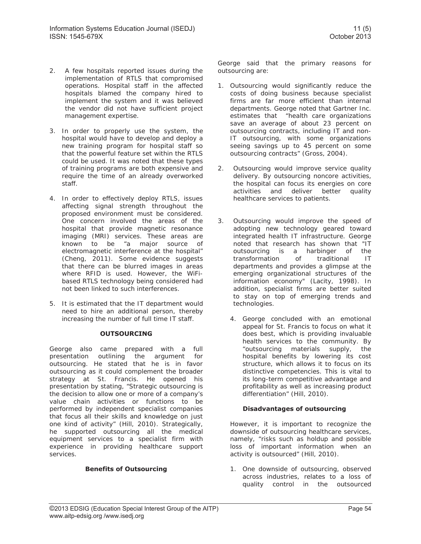- 2. A few hospitals reported issues during the implementation of RTLS that compromised operations. Hospital staff in the affected hospitals blamed the company hired to implement the system and it was believed the vendor did not have sufficient project management expertise.
- 3. In order to properly use the system, the hospital would have to develop and deploy a new training program for hospital staff so that the powerful feature set within the RTLS could be used. It was noted that these types of training programs are both expensive and require the time of an already overworked staff.
- 4. In order to effectively deploy RTLS, issues affecting signal strength throughout the proposed environment must be considered. One concern involved the areas of the hospital that provide magnetic resonance imaging (MRI) services. These areas are known to be "a major source of electromagnetic interference at the hospital" (Cheng, 2011). Some evidence suggests that there can be blurred images in areas where RFID is used. However, the WiFibased RTLS technology being considered had not been linked to such interferences.
- 5. It is estimated that the IT department would need to hire an additional person, thereby increasing the number of full time IT staff.

## **OUTSOURCING**

George also came prepared with a full presentation outlining the argument for outsourcing. He stated that he is in favor outsourcing as it could complement the broader strategy at St. Francis. He opened his presentation by stating, "Strategic outsourcing is the decision to allow one or more of a company's value chain activities or functions to be performed by independent specialist companies that focus all their skills and knowledge on just one kind of activity" (Hill, 2010). Strategically, he supported outsourcing all the medical equipment services to a specialist firm with experience in providing healthcare support services.

## **Benefits of Outsourcing**

George said that the primary reasons for outsourcing are:

- 1. Outsourcing would significantly reduce the costs of doing business because specialist firms are far more efficient than internal departments. George noted that Gartner Inc. estimates that "health care organizations save an average of about 23 percent on outsourcing contracts, including IT and non-IT outsourcing, with some organizations seeing savings up to 45 percent on some outsourcing contracts" (Gross, 2004).
- 2. Outsourcing would improve service quality delivery. By outsourcing noncore activities, the hospital can focus its energies on core activities and deliver better quality healthcare services to patients.
- 3. Outsourcing would improve the speed of adopting new technology geared toward integrated health IT infrastructure. George noted that research has shown that "IT outsourcing is a harbinger of the transformation of traditional IT departments and provides a glimpse at the emerging organizational structures of the information economy" (Lacity, 1998). In addition, specialist firms are better suited to stay on top of emerging trends and technologies.
	- 4. George concluded with an emotional appeal for St. Francis to focus on what it does best, which is providing invaluable health services to the community. By "outsourcing materials supply, the hospital benefits by lowering its cost structure, which allows it to focus on its distinctive competencies. This is vital to its long-term competitive advantage and profitability as well as increasing product differentiation" (Hill, 2010).

## **Disadvantages of outsourcing**

However, it is important to recognize the downside of outsourcing healthcare services, namely, "risks such as holdup and possible loss of important information when an activity is outsourced" (Hill, 2010).

1. One downside of outsourcing, observed across industries, relates to a loss of quality control in the outsourced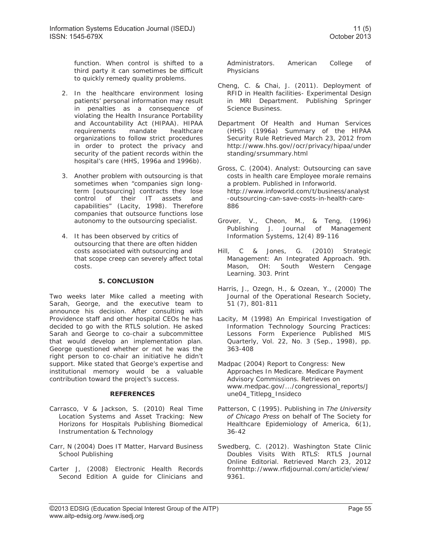function. When control is shifted to a third party it can sometimes be difficult to quickly remedy quality problems.

- 2. In the healthcare environment losing patients' personal information may result in penalties as a consequence of violating the Health Insurance Portability and Accountability Act (HIPAA). HIPAA requirements mandate healthcare organizations to follow strict procedures in order to protect the privacy and security of the patient records within the hospital's care (HHS, 1996a and 1996b).
- 3. Another problem with outsourcing is that sometimes when "companies sign longterm [outsourcing] contracts they lose control of their IT assets and capabilities" (Lacity, 1998). Therefore companies that outsource functions lose autonomy to the outsourcing specialist.
- 4. It has been observed by critics of outsourcing that there are often hidden costs associated with outsourcing and that scope creep can severely affect total costs.

## **5. CONCLUSION**

Two weeks later Mike called a meeting with Sarah, George, and the executive team to announce his decision. After consulting with Providence staff and other hospital CEOs he has decided to go with the RTLS solution. He asked Sarah and George to co-chair a subcommittee that would develop an implementation plan. George questioned whether or not he was the right person to co-chair an initiative he didn't support. Mike stated that George's expertise and institutional memory would be a valuable contribution toward the project's success.

## **REFERENCES**

- Carrasco, V & Jackson, S. (2010) Real Time Location Systems and Asset Tracking: New Horizons for Hospitals Publishing Biomedical Instrumentation & Technology
- Carr, N (2004) Does IT Matter, Harvard Business School Publishing
- Carter J, (2008) Electronic Health Records Second Edition A guide for Clinicians and

Administrators. American College of Physicians

- Cheng, C. & Chai, J. (2011). Deployment of RFID in Health facilities- Experimental Design in MRI Department. Publishing Springer Science Business.
- Department Of Health and Human Services (HHS) (1996a) Summary of the HIPAA Security Rule Retrieved March 23, 2012 from http://www.hhs.gov//ocr/privacy/hipaa/under standing/srsummary.html
- Gross, C. (2004). Analyst: Outsourcing can save costs in health care Employee morale remains a problem. Published in Inforworld. http://www.infoworld.com/t/business/analyst -outsourcing-can-save-costs-in-health-care-886
- Grover, V., Cheon, M., & Teng, (1996) Publishing J. Journal of Management Information Systems, 12(4) 89-116
- Hill, C & Jones, G. (2010) Strategic Management: An Integrated Approach. 9th. Mason, OH: South Western Cengage Learning. 303. Print
- Harris, J., Ozegn, H., & Ozean, Y., (2000) The Journal of the Operational Research Society, 51 (7), 801-811
- Lacity, M (1998) An Empirical Investigation of Information Technology Sourcing Practices: Lessons Form Experience Published MIS Quarterly, Vol. 22, No. 3 (Sep., 1998), pp. 363-408
- Madpac (2004) Report to Congress: New Approaches In Medicare. Medicare Payment Advisory Commissions. Retrieves on www.medpac.gov/.../congressional\_reports/J une04\_Titlepg\_Insideco
- Patterson, C (1995). Publishing in *The University of Chicago Press* on behalf of The Society for Healthcare Epidemiology of America, 6(1), 36-42
- Swedberg, C. (2012). Washington State Clinic Doubles Visits With RTL*S*: RTLS Journal Online Editorial. Retrieved March 23, 2012 fromhttp://www.rfidjournal.com/article/view/ 9361.